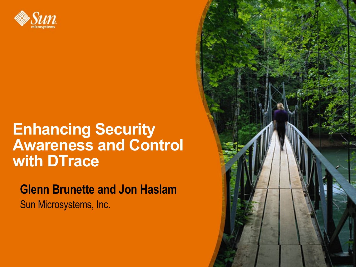

#### **Enhancing Security Awareness and Control with DTrace**

**Glenn Brunette and Jon Haslam** Sun Microsystems, Inc.

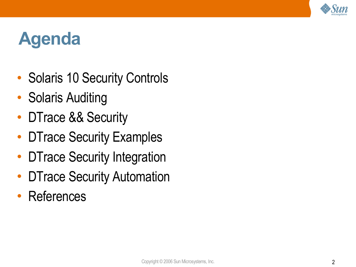

## **Agenda**

- Solaris 10 Security Controls
- **Solaris Auditing**
- DTrace && Security
- **DTrace Security Examples**
- **DTrace Security Integration**
- **DTrace Security Automation**
- **References**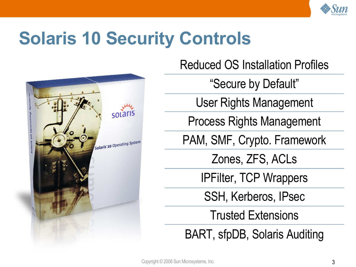

## **Solaris 10 Security Controls**



Reduced OS Installation Profiles

"Secure by Default"

User Rights Management

Process Rights Management

PAM, SMF, Crypto. Framework

Zones, ZFS, ACLs

IPFilter, TCP Wrappers

SSH, Kerberos, IPsec

Trusted Extensions

BART, sfpDB, Solaris Auditing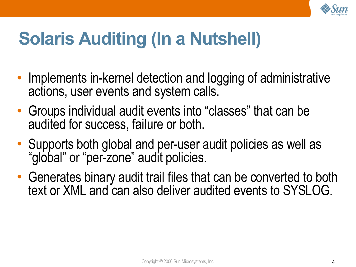

## **Solaris Auditing (In a Nutshell)**

- Implements in-kernel detection and logging of administrative actions, user events and system calls.
- Groups individual audit events into "classes" that can be audited for success, failure or both.
- Supports both global and per-user audit policies as well as "global" or "per-zone" audit policies.
- Generates binary audit trail files that can be converted to both text or XML and can also deliver audited events to SYSLOG.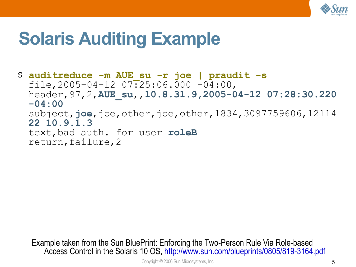

### **Solaris Auditing Example**

\$ **auditreduce -m AUE\_su -r joe | praudit -s** file, 2005-04-12  $07:25:06.000 -04:00$ , header,97,2,**AUE\_su**,,**10.8.31.9,2005-04-12 07:28:30.220 -04:00** subject, joe, joe, other, joe, other, 1834, 3097759606, 12114 **22 10.9.1.3** text,bad auth. for user **roleB** return,failure,2

Example taken from the Sun BluePrint: Enforcing the Two-Person Rule Via Role-based Access Control in the Solaris 10 OS, <http://www.sun.com/blueprints/0805/819-3164.pdf>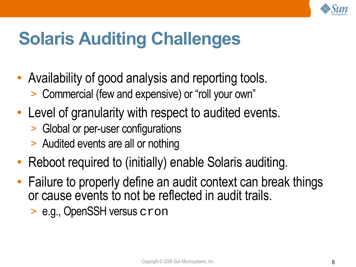

## **Solaris Auditing Challenges**

- Availability of good analysis and reporting tools.
	- > Commercial (few and expensive) or "roll your own"
- Level of granularity with respect to audited events.
	- > Global or per-user configurations
	- > Audited events are all or nothing
- Reboot required to (initially) enable Solaris auditing.
- Failure to properly define an audit context can break things or cause events to not be reflected in audit trails.
	- > e.g., OpenSSH versus cron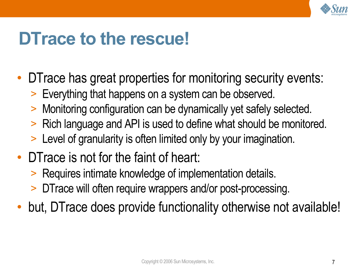

### **DTrace to the rescue!**

- DTrace has great properties for monitoring security events:
	- > Everything that happens on a system can be observed.
	- > Monitoring configuration can be dynamically yet safely selected.
	- > Rich language and API is used to define what should be monitored.
	- > Level of granularity is often limited only by your imagination.
- DTrace is not for the faint of heart:
	- > Requires intimate knowledge of implementation details.
	- DTrace will often require wrappers and/or post-processing.
- but, DTrace does provide functionality otherwise not available!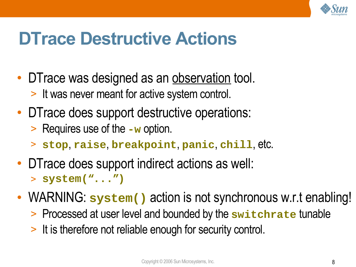

### **DTrace Destructive Actions**

- DTrace was designed as an observation tool. > It was never meant for active system control.
- DTrace does support destructive operations:
	- > Requires use of the **-w** option.
	- > **stop**, **raise**, **breakpoint**, **panic**, **chill**, etc.
- DTrace does support indirect actions as well: > **system("...")**
- WARNING: system() action is not synchronous w.r.t enabling!
	- > Processed at user level and bounded by the **switchrate** tunable
	- > It is therefore not reliable enough for security control.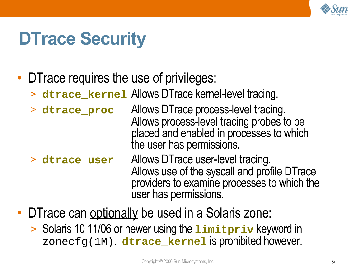

### **DTrace Security**

- DTrace requires the use of privileges:
	- > **dtrace\_kernel** Allows DTrace kernel-level tracing.
	- > **dtrace\_proc** Allows DTrace process-level tracing. Allows process-level tracing probes to be placed and enabled in processes to which the user has permissions.
	- > **dtrace\_user** Allows DTrace user-level tracing. Allows use of the syscall and profile DTrace providers to examine processes to which the user has permissions.
- DTrace can optionally be used in a Solaris zone:
	- > Solaris 10 11/06 or newer using the **limitpriv** keyword in zonecfg(1M). **dtrace\_kernel** is prohibited however.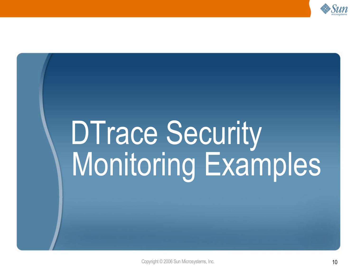

# DTrace Security Monitoring Examples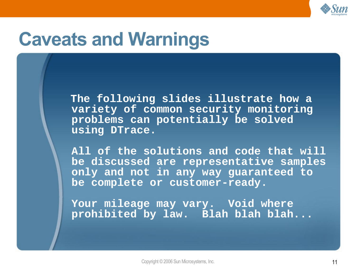

### **Caveats and Warnings**

**The following slides illustrate how a variety of common security monitoring problems can potentially be solved using DTrace.**

**All of the solutions and code that will be discussed are representative samples only and not in any way guaranteed to be complete or customer-ready.**

**Your mileage may vary. Void where prohibited by law. Blah blah blah...**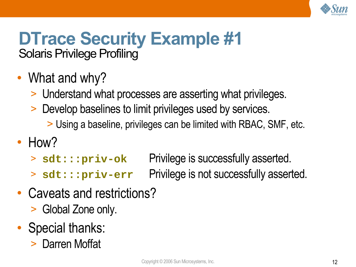

#### **DTrace Security Example #1** Solaris Privilege Profiling

- What and why?
	- > Understand what processes are asserting what privileges.
	- > Develop baselines to limit privileges used by services.
		- > Using a baseline, privileges can be limited with RBAC, SMF, etc.

#### • How?

- > **sdt:::priv-ok** Privilege is successfully asserted.
- > **sdt:::priv-err** Privilege is not successfully asserted.
- Caveats and restrictions?
	- > Global Zone only.
- Special thanks:
	- > Darren Moffat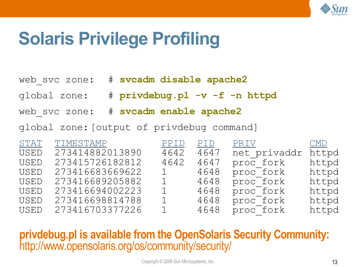

## **Solaris Privilege Profiling**

web\_svc zone: # **svcadm disable apache2**

- global zone: # **privdebug.pl -v -f -n httpd**
- web\_svc zone: # **svcadm enable apache2**
- global zone:[output of privdebug command]

| STAT        | TIMESTAMP       | PPID         | PID. | PRIV <sub>.</sub> | $\rm CMD$ |
|-------------|-----------------|--------------|------|-------------------|-----------|
| <b>USED</b> | 273414882013890 | 4642         | 4647 | net privaddr      | httpd     |
| <b>USED</b> | 273415726182812 | 4642         | 4647 | proc fork         | httpd     |
| <b>USED</b> | 273416683669622 | 1            | 4648 | proc fork         | httpd     |
| <b>USED</b> | 273416689205882 | 1            | 4648 | proc fork         | httpd     |
| <b>USED</b> | 273416694002223 | $1^-$        | 4648 | proc fork         | httpd     |
| <b>USED</b> | 273416698814788 | $1 -$        | 4648 | proc fork         | httpd     |
| <b>USED</b> | 273416703377226 | $\mathbf{1}$ | 4648 | proc fork         | httpd     |

#### **privdebug.pl is available from the OpenSolaris Security Community:** <http://www.opensolaris.org/os/community/security/>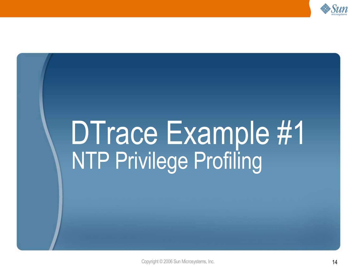

## DTrace Example #1 NTP Privilege Profiling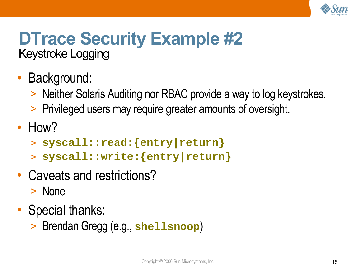

#### **DTrace Security Example #2** Keystroke Logging

- Background:
	- > Neither Solaris Auditing nor RBAC provide a way to log keystrokes.
	- > Privileged users may require greater amounts of oversight.
- How?
	- > **syscall::read:{entry|return}**
	- > **syscall::write:{entry|return}**
- Caveats and restrictions?
	- > None
- Special thanks:
	- > Brendan Gregg (e.g., **shellsnoop**)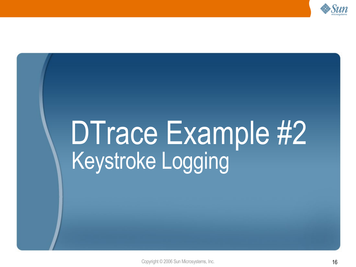

## DTrace Example #2 Keystroke Logging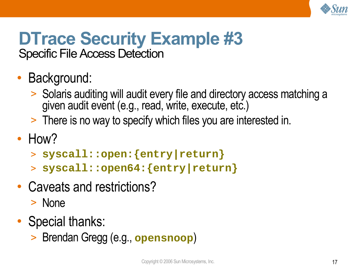

#### **DTrace Security Example #3** Specific File Access Detection

- Background:
	- > Solaris auditing will audit every file and directory access matching a given audit event (e.g., read, write, execute, etc.)
	- > There is no way to specify which files you are interested in.
- How?
	- > **syscall::open:{entry|return}**
	- > **syscall::open64:{entry|return}**
- Caveats and restrictions? > None
- Special thanks:
	- > Brendan Gregg (e.g., **opensnoop**)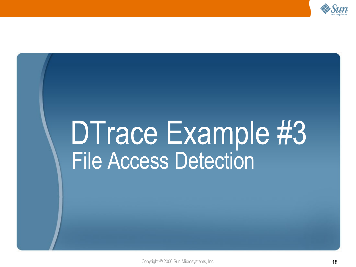

## DTrace Example #3 File Access Detection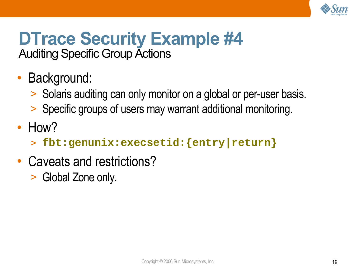

#### **DTrace Security Example #4** Auditing Specific Group Actions

- Background:
	- > Solaris auditing can only monitor on a global or per-user basis.
	- > Specific groups of users may warrant additional monitoring.
- How?
	- > **fbt:genunix:execsetid:{entry|return}**
- Caveats and restrictions?
	- > Global Zone only.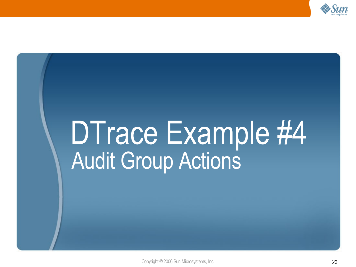

## DTrace Example #4 Audit Group Actions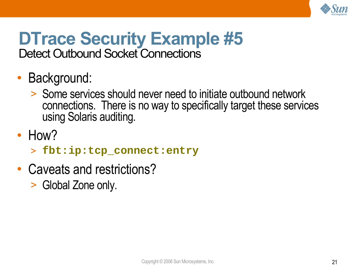

#### **DTrace Security Example #5** Detect Outbound Socket Connections

- Background:
	- > Some services should never need to initiate outbound network connections. There is no way to specifically target these services using Solaris auditing.
- How?
	- > **fbt:ip:tcp\_connect:entry**
- Caveats and restrictions?
	- > Global Zone only.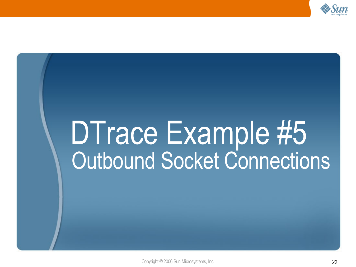

## DTrace Example #5 Outbound Socket Connections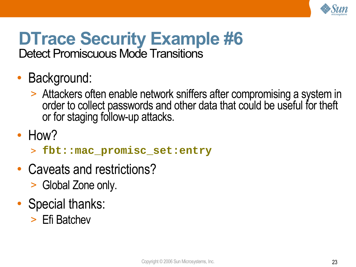

## **DTrace Security Example #6**

Detect Promiscuous Mode Transitions

- Background:
	- > Attackers often enable network sniffers after compromising a system in order to collect passwords and other data that could be useful for theft or for staging follow-up attacks.
- How?
	- > **fbt::mac\_promisc\_set:entry**
- Caveats and restrictions?
	- > Global Zone only.
- Special thanks:
	- > Efi Batchev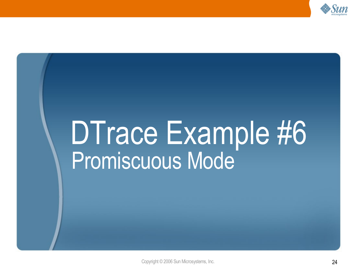

## DTrace Example #6 Promiscuous Mode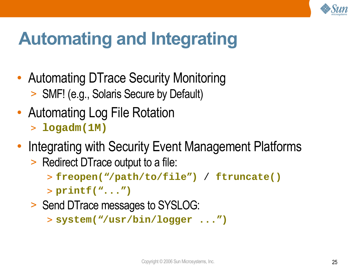

## **Automating and Integrating**

- Automating DTrace Security Monitoring > SMF! (e.g., Solaris Secure by Default)
- Automating Log File Rotation
	- > **logadm(1M)**
- Integrating with Security Event Management Platforms
	- > Redirect DTrace output to a file:
		- > **freopen("/path/to/file")** / **ftruncate()**
		- > **printf("...")**
	- > Send DTrace messages to SYSLOG:

> **system("/usr/bin/logger ...")**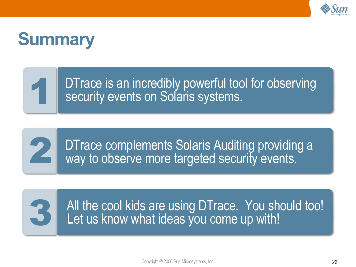

### **Summary**

DTrace is an incredibly powerful tool for observing security events on Solaris systems.



1

DTrace complements Solaris Auditing providing a way to observe more targeted security events.



All the cool kids are using DTrace. You should too! Let us know what ideas you come up with!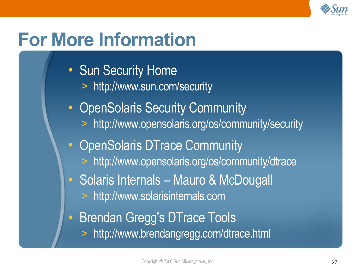

## **For More Information**

- Sun Security Home
	- > <http://www.sun.com/security>
- OpenSolaris Security Community
	- > <http://www.opensolaris.org/os/community/security>
- OpenSolaris DTrace Community
	- > <http://www.opensolaris.org/os/community/dtrace>
- Solaris Internals Mauro & McDougall
	- > http://www.solarisinternals.com
- Brendan Gregg's DTrace Tools
	- > <http://www.brendangregg.com/dtrace.html>